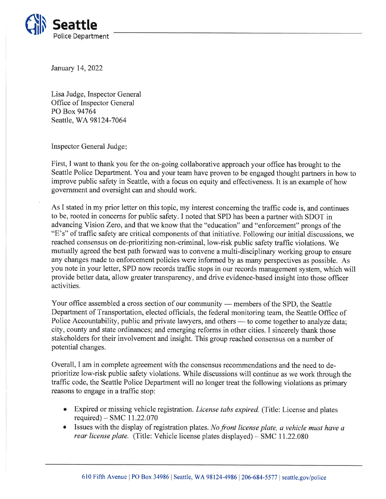

January 14, 2022

Lisa Judge, Inspector General Office of Inspector General PO Box 94764 Seattle, WA98124-7064

Inspector General Judge

First, I want to thank you for the on-going collaborative approach your office has brought to the Seattle Police Department. You and your team have proven to be engaged thought partners in how to improve public safety in Seattle, with a focus on equity and effectiveness. It is an example of how government and oversight can and should work.

As I stated in my prior letter on this topic, my interest concerning the traffic code is, and continues to be, rooted in concerns for public safety. I noted that SPD has been a partner with SDOT in advancing Vision Zero, and that we know that the "education" and "enforcement" prongs of the 66E's" of traffic safety are critical components of that initiative. Following our initial discussions, we reached consensus on de-prioritizing non-criminal, low-risk public safety traffic violations. We mutually agreed the best path forward was to convene a multi-disciplinary working group to ensure any changes made to enforcement policies were informed by as many perspectives as possible. As you note in your letter, SPD now records traffic stops in our records management system, which will provide better data, allow greater transparency, and drive evidence-based insight into those officer activities.

Your office assembled a cross section of our community members of the SPD, the Seattle - Department of Transportation, elected officials, the federal monitoring team, the Seattle Office of Police Accountability, public and private lawyers, and others — to come together to analyze data; r once Accountability, public and private lawyers, and others — to come together to analyze deligy, county and state ordinances; and emerging reforms in other cities. I sincerely thank those stakeholders for their involvement and insight. This group reached consensus on a number of potential changes.

Overall, I am in complete agreement with the consensus recommendations and the need to deprioritize low-risk public safety violations. While discussions will continue as we work through the traffic code, the Seattle Police Department will no longer treat the following violations as primary reasons to engage in a traffic stop:

- Expired or missing vehicle registration. *License tabs expired*. (Title: License and plates required) - SMC 11.22.070
- $\bullet$  Issues with the display of registration plates. No front license plate, a vehicle must have a rear license plate. (Title: Vehicle license plates displayed) - SMC II.22.080